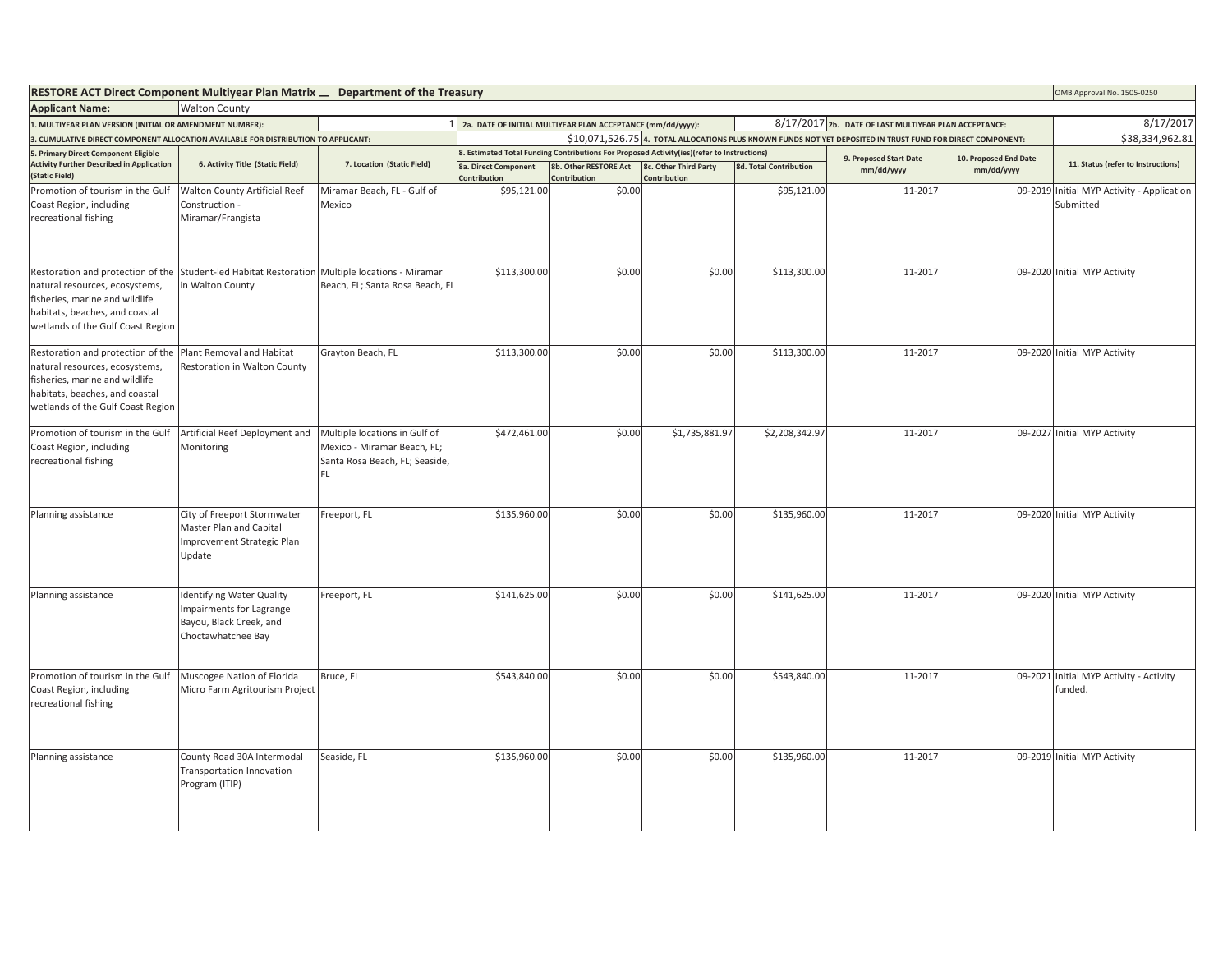| RESTORE ACT Direct Component Multiyear Plan Matrix _ Department of the Treasury                                                                                              |                                                                                                               |                                                                                                       |                                                               |                                                                                            |                                      |                               | OMB Approval No. 1505-0250           |                       |                                                         |
|------------------------------------------------------------------------------------------------------------------------------------------------------------------------------|---------------------------------------------------------------------------------------------------------------|-------------------------------------------------------------------------------------------------------|---------------------------------------------------------------|--------------------------------------------------------------------------------------------|--------------------------------------|-------------------------------|--------------------------------------|-----------------------|---------------------------------------------------------|
| <b>Walton County</b><br><b>Applicant Name:</b>                                                                                                                               |                                                                                                               |                                                                                                       |                                                               |                                                                                            |                                      |                               |                                      |                       |                                                         |
| 1. MULTIYEAR PLAN VERSION (INITIAL OR AMENDMENT NUMBER):                                                                                                                     |                                                                                                               |                                                                                                       | 1 2a. DATE OF INITIAL MULTIYEAR PLAN ACCEPTANCE (mm/dd/yyyy): | 8/17/2017                                                                                  |                                      |                               |                                      |                       |                                                         |
| 3. CUMULATIVE DIRECT COMPONENT ALLOCATION AVAILABLE FOR DISTRIBUTION TO APPLICANT:                                                                                           |                                                                                                               |                                                                                                       |                                                               | \$38,334,962.81                                                                            |                                      |                               |                                      |                       |                                                         |
| 5. Primary Direct Component Eligible                                                                                                                                         |                                                                                                               | 7. Location (Static Field)                                                                            |                                                               | 8. Estimated Total Funding Contributions For Proposed Activity(ies)(refer to Instructions) |                                      |                               | 9. Proposed Start Date<br>mm/dd/yyyy | 10. Proposed End Date |                                                         |
| <b>Activity Further Described in Application</b><br>6. Activity Title (Static Field)<br>(Static Field)                                                                       |                                                                                                               |                                                                                                       | 8a. Direct Component<br>Contribution                          | 8b. Other RESTORE Act<br>Contribution                                                      | 8c. Other Third Party<br>ontribution | <b>8d. Total Contribution</b> |                                      | mm/dd/yyyy            | 11. Status (refer to Instructions)                      |
| Promotion of tourism in the Gulf<br>Coast Region, including<br>recreational fishing                                                                                          | Walton County Artificial Reef<br>Construction -<br>Miramar/Frangista                                          | Miramar Beach, FL - Gulf of<br>Mexico                                                                 | \$95,121.00                                                   | \$0.00                                                                                     |                                      | \$95,121.00                   | 11-2017                              |                       | 09-2019 Initial MYP Activity - Application<br>Submitted |
| Restoration and protection of the<br>natural resources, ecosystems,<br>fisheries, marine and wildlife<br>habitats, beaches, and coastal<br>wetlands of the Gulf Coast Region | Student-led Habitat Restoration Multiple locations - Miramar<br>in Walton County                              | Beach, FL; Santa Rosa Beach, FL                                                                       | \$113,300.00                                                  | \$0.00                                                                                     | \$0.00                               | \$113,300.00                  | 11-2017                              |                       | 09-2020 Initial MYP Activity                            |
| Restoration and protection of the<br>natural resources, ecosystems,<br>fisheries, marine and wildlife<br>habitats, beaches, and coastal<br>wetlands of the Gulf Coast Region | Plant Removal and Habitat<br>Restoration in Walton County                                                     | Grayton Beach, FL                                                                                     | \$113,300.00                                                  | \$0.00                                                                                     | \$0.00                               | \$113,300.00                  | 11-2017                              |                       | 09-2020 Initial MYP Activity                            |
| Promotion of tourism in the Gulf<br>Coast Region, including<br>recreational fishing                                                                                          | Artificial Reef Deployment and<br>Monitoring                                                                  | Multiple locations in Gulf of<br>Mexico - Miramar Beach, FL;<br>Santa Rosa Beach, FL; Seaside,<br>FL. | \$472,461.00                                                  | \$0.00                                                                                     | \$1,735,881.97                       | \$2,208,342.97                | 11-2017                              |                       | 09-2027 Initial MYP Activity                            |
| Planning assistance                                                                                                                                                          | City of Freeport Stormwater<br>Master Plan and Capital<br>Improvement Strategic Plan<br>Update                | Freeport, FL                                                                                          | \$135,960.00                                                  | \$0.00                                                                                     | \$0.00                               | \$135,960.00                  | 11-2017                              |                       | 09-2020 Initial MYP Activity                            |
| Planning assistance                                                                                                                                                          | <b>Identifying Water Quality</b><br>Impairments for Lagrange<br>Bayou, Black Creek, and<br>Choctawhatchee Bay | Freeport, FL                                                                                          | \$141,625.00                                                  | \$0.00                                                                                     | \$0.00                               | \$141,625.00                  | 11-2017                              |                       | 09-2020 Initial MYP Activity                            |
| Promotion of tourism in the Gulf<br>Coast Region, including<br>recreational fishing                                                                                          | Muscogee Nation of Florida<br>Micro Farm Agritourism Project                                                  | Bruce, FL                                                                                             | \$543,840.00                                                  | \$0.00                                                                                     | \$0.00                               | \$543,840.00                  | 11-2017                              |                       | 09-2021 Initial MYP Activity - Activity<br>funded.      |
| Planning assistance                                                                                                                                                          | County Road 30A Intermodal<br>Transportation Innovation<br>Program (ITIP)                                     | Seaside, FL                                                                                           | \$135,960.00                                                  | \$0.00                                                                                     | \$0.00                               | \$135,960.00                  | 11-2017                              |                       | 09-2019 Initial MYP Activity                            |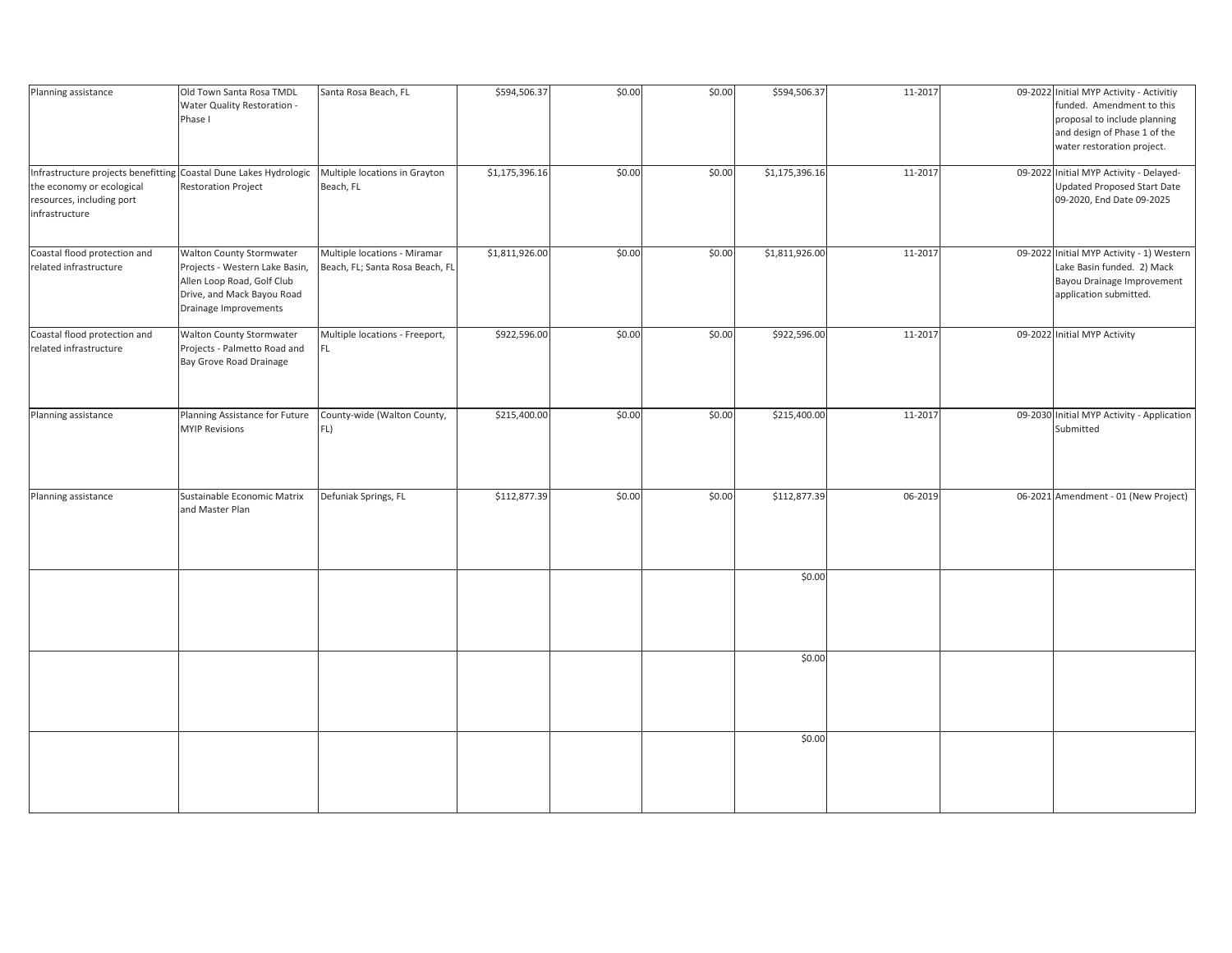| Planning assistance                                                                                                                           | Old Town Santa Rosa TMDL<br>Water Quality Restoration -<br>Phase I                                                                                     | Santa Rosa Beach, FL                                            | \$594,506.37   | \$0.00 | \$0.00 | \$594,506.37   | 11-2017 | 09-2022 Initial MYP Activity - Activitiy<br>funded. Amendment to this<br>proposal to include planning<br>and design of Phase 1 of the<br>water restoration project. |
|-----------------------------------------------------------------------------------------------------------------------------------------------|--------------------------------------------------------------------------------------------------------------------------------------------------------|-----------------------------------------------------------------|----------------|--------|--------|----------------|---------|---------------------------------------------------------------------------------------------------------------------------------------------------------------------|
| Infrastructure projects benefitting Coastal Dune Lakes Hydrologic<br>the economy or ecological<br>resources, including port<br>infrastructure | <b>Restoration Project</b>                                                                                                                             | Multiple locations in Grayton<br>Beach, FL                      | \$1,175,396.16 | \$0.00 | \$0.00 | \$1,175,396.16 | 11-2017 | 09-2022 Initial MYP Activity - Delayed-<br>Updated Proposed Start Date<br>09-2020, End Date 09-2025                                                                 |
| Coastal flood protection and<br>related infrastructure                                                                                        | <b>Walton County Stormwater</b><br>Projects - Western Lake Basin,<br>Allen Loop Road, Golf Club<br>Drive, and Mack Bayou Road<br>Drainage Improvements | Multiple locations - Miramar<br>Beach, FL; Santa Rosa Beach, FL | \$1,811,926.00 | \$0.00 | \$0.00 | \$1,811,926.00 | 11-2017 | 09-2022 Initial MYP Activity - 1) Western<br>Lake Basin funded. 2) Mack<br>Bayou Drainage Improvement<br>application submitted.                                     |
| Coastal flood protection and<br>related infrastructure                                                                                        | Walton County Stormwater<br>Projects - Palmetto Road and<br>Bay Grove Road Drainage                                                                    | Multiple locations - Freeport,<br>FL.                           | \$922,596.00   | \$0.00 | \$0.00 | \$922,596.00   | 11-2017 | 09-2022 Initial MYP Activity                                                                                                                                        |
| Planning assistance                                                                                                                           | Planning Assistance for Future<br><b>MYIP Revisions</b>                                                                                                | County-wide (Walton County,<br>FL)                              | \$215,400.00   | \$0.00 | \$0.00 | \$215,400.00   | 11-2017 | 09-2030 Initial MYP Activity - Application<br>Submitted                                                                                                             |
| Planning assistance                                                                                                                           | Sustainable Economic Matrix<br>and Master Plan                                                                                                         | Defuniak Springs, FL                                            | \$112,877.39   | \$0.00 | \$0.00 | \$112,877.39   | 06-2019 | 06-2021 Amendment - 01 (New Project)                                                                                                                                |
|                                                                                                                                               |                                                                                                                                                        |                                                                 |                |        |        | \$0.00         |         |                                                                                                                                                                     |
|                                                                                                                                               |                                                                                                                                                        |                                                                 |                |        |        | \$0.00         |         |                                                                                                                                                                     |
|                                                                                                                                               |                                                                                                                                                        |                                                                 |                |        |        | \$0.00         |         |                                                                                                                                                                     |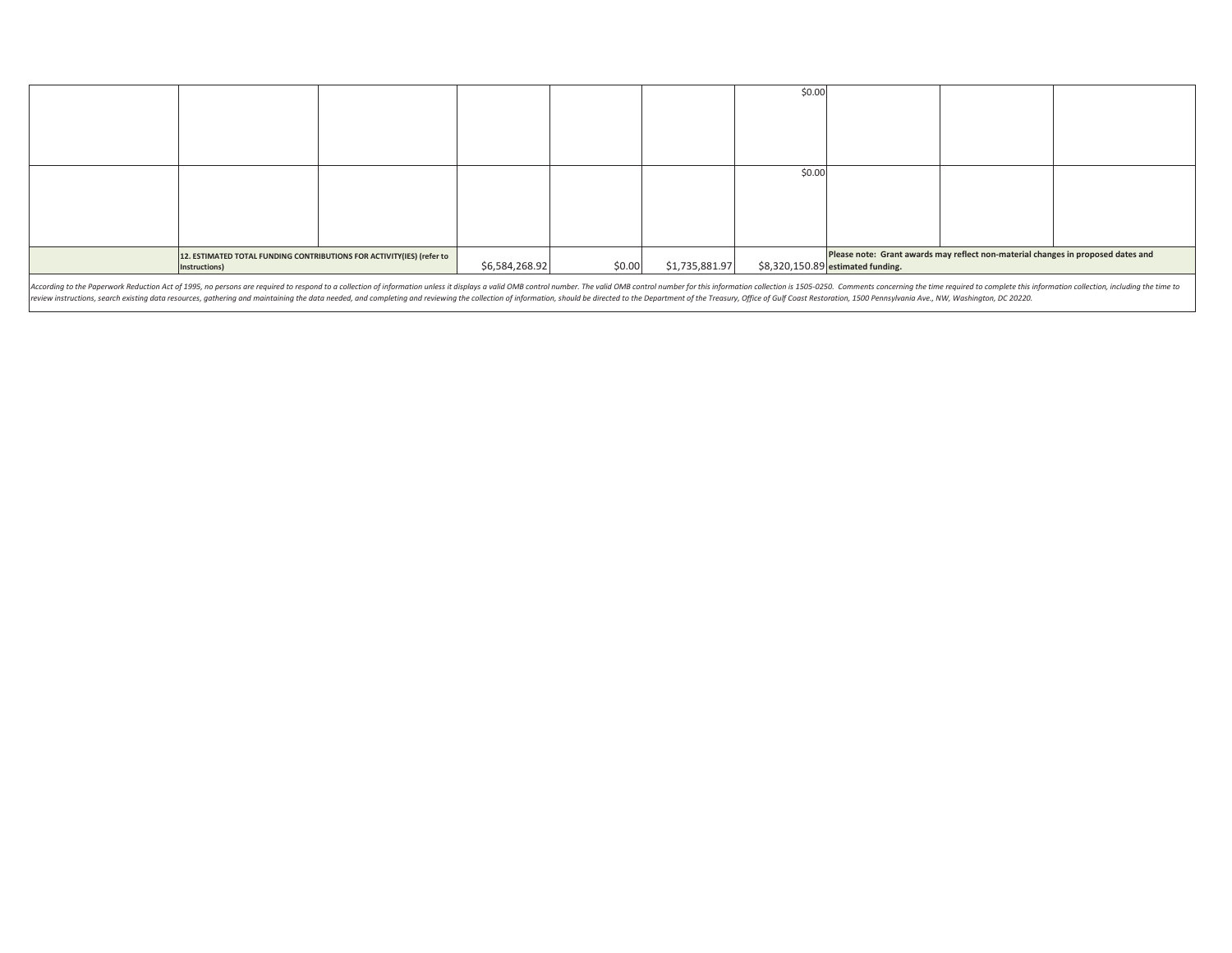|                                                                                                                                                                                                                                |                                                                                        |  |                |        |                | \$0.00 |                                   |                                                                                  |  |
|--------------------------------------------------------------------------------------------------------------------------------------------------------------------------------------------------------------------------------|----------------------------------------------------------------------------------------|--|----------------|--------|----------------|--------|-----------------------------------|----------------------------------------------------------------------------------|--|
|                                                                                                                                                                                                                                |                                                                                        |  |                |        |                |        |                                   |                                                                                  |  |
|                                                                                                                                                                                                                                |                                                                                        |  |                |        |                |        |                                   |                                                                                  |  |
|                                                                                                                                                                                                                                |                                                                                        |  |                |        |                | \$0.00 |                                   |                                                                                  |  |
|                                                                                                                                                                                                                                |                                                                                        |  |                |        |                |        |                                   |                                                                                  |  |
|                                                                                                                                                                                                                                |                                                                                        |  |                |        |                |        |                                   |                                                                                  |  |
|                                                                                                                                                                                                                                |                                                                                        |  |                |        |                |        |                                   |                                                                                  |  |
|                                                                                                                                                                                                                                | 12. ESTIMATED TOTAL FUNDING CONTRIBUTIONS FOR ACTIVITY(IES) (refer to<br>Instructions) |  | \$6,584,268.92 | \$0.00 | \$1,735,881.97 |        | \$8,320,150.89 estimated funding. | Please note: Grant awards may reflect non-material changes in proposed dates and |  |
| According to the Paperwork Reduction Act of 1995, no persons are required to respond to a collection of information unless it displays a valid OMB control number. The valid OMB control number for this information collectio |                                                                                        |  |                |        |                |        |                                   |                                                                                  |  |

review instructions, search existing data resources, gathering and maintaining the data needed, and completing and reviewing the collection of information, should be directed to the Department of the Treasury, Office of Gu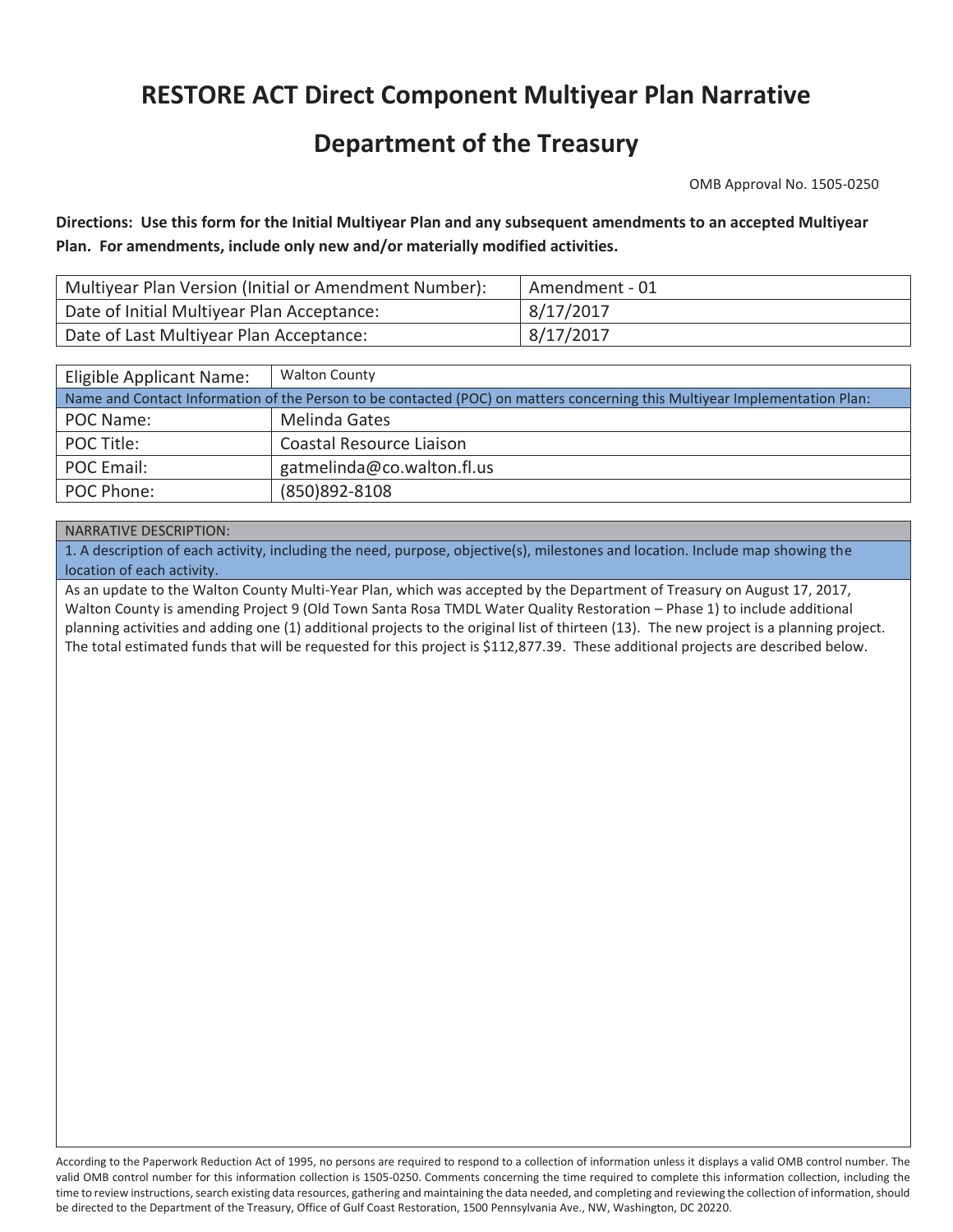## **RESTORE ACT Direct Component Multiyear Plan Narrative**

### **Department of the Treasury**

OMB Approval No. 1505-0250

**Directions: Use this form for the Initial Multiyear Plan and any subsequent amendments to an accepted Multiyear Plan. For amendments, include only new and/or materially modified activities.** 

| Multiyear Plan Version (Initial or Amendment Number): | Amendment - 01 |
|-------------------------------------------------------|----------------|
| Date of Initial Multiyear Plan Acceptance:            | 8/17/2017      |
| Date of Last Multiyear Plan Acceptance:               | 8/17/2017      |

| <b>Walton County</b><br>Eligible Applicant Name:                                                                           |                            |  |  |  |  |
|----------------------------------------------------------------------------------------------------------------------------|----------------------------|--|--|--|--|
| Name and Contact Information of the Person to be contacted (POC) on matters concerning this Multiyear Implementation Plan: |                            |  |  |  |  |
| POC Name:                                                                                                                  | Melinda Gates              |  |  |  |  |
| POC Title:                                                                                                                 | Coastal Resource Liaison   |  |  |  |  |
| POC Email:                                                                                                                 | gatmelinda@co.walton.fl.us |  |  |  |  |
| POC Phone:                                                                                                                 | (850) 892-8108             |  |  |  |  |

#### NARRATIVE DESCRIPTION:

1. A description of each activity, including the need, purpose, objective(s), milestones and location. Include map showing the location of each activity.

The total estimated funds that will be requested for this project is \$112,877.39. These additional projects are described below. As an update to the Walton County Multi-Year Plan, which was accepted by the Department of Treasury on August 17, 2017, Walton County is amending Project 9 (Old Town Santa Rosa TMDL Water Quality Restoration – Phase 1) to include additional planning activities and adding one (1) additional projects to the original list of thirteen (13). The new project is a planning project. The total estimated funds that will be requested for this project is  $$112,877.39$ . These additional projects are described below.<br><br><br>According to the Paperwork Reduction Act of 1995, no persons are required to respond to

valid OMB control number for this information collection is 1505-0250. Comments concerning the time required to complete this information collection, including the time to review instructions, search existing data resources, gathering and maintaining the data needed, and completing and reviewing the collection of information, should be directed to the Department of the Treasury, Office of Gulf Coast Restoration, 1500 Pennsylvania Ave., NW, Washington, DC 20220.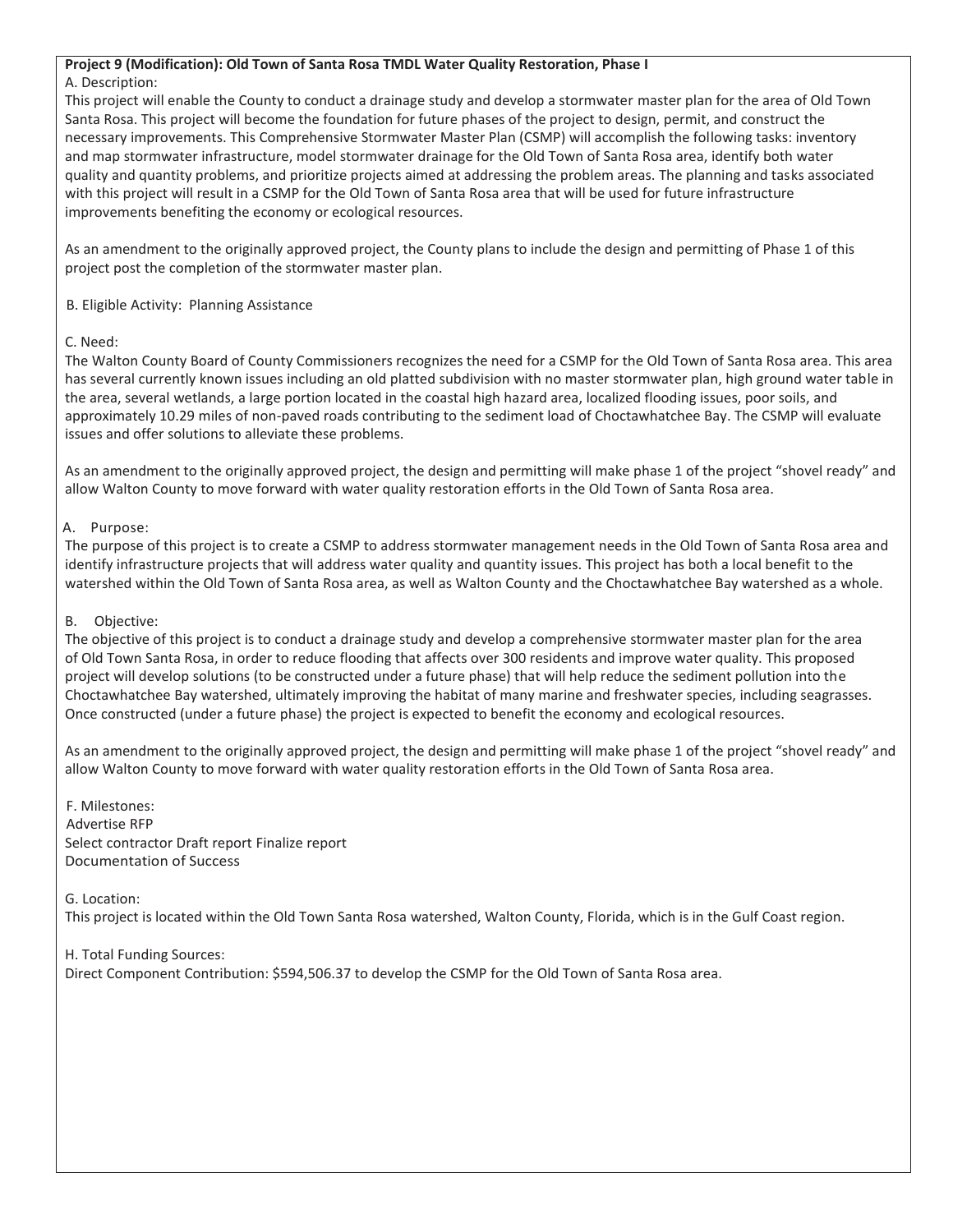#### **Project 9 (Modification): Old Town of Santa Rosa TMDL Water Quality Restoration, Phase I**

#### A. Description:

This project will enable the County to conduct a drainage study and develop a stormwater master plan for the area of Old Town Santa Rosa. This project will become the foundation for future phases of the project to design, permit, and construct the necessary improvements. This Comprehensive Stormwater Master Plan (CSMP) will accomplish the following tasks: inventory and map stormwater infrastructure, model stormwater drainage for the Old Town of Santa Rosa area, identify both water quality and quantity problems, and prioritize projects aimed at addressing the problem areas. The planning and tasks associated with this project will result in a CSMP for the Old Town of Santa Rosa area that will be used for future infrastructure improvements benefiting the economy or ecological resources.

As an amendment to the originally approved project, the County plans to include the design and permitting of Phase 1 of this project post the completion of the stormwater master plan.

B. Eligible Activity: Planning Assistance

#### C. Need:

The Walton County Board of County Commissioners recognizes the need for a CSMP for the Old Town of Santa Rosa area. This area has several currently known issues including an old platted subdivision with no master stormwater plan, high ground water table in the area, several wetlands, a large portion located in the coastal high hazard area, localized flooding issues, poor soils, and approximately 10.29 miles of non-paved roads contributing to the sediment load of Choctawhatchee Bay. The CSMP will evaluate issues and offer solutions to alleviate these problems.

As an amendment to the originally approved project, the design and permitting will make phase 1 of the project "shovel ready" and allow Walton County to move forward with water quality restoration efforts in the Old Town of Santa Rosa area.

#### A. Purpose:

The purpose of this project is to create a CSMP to address stormwater management needs in the Old Town of Santa Rosa area and identify infrastructure projects that will address water quality and quantity issues. This project has both a local benefit to the watershed within the Old Town of Santa Rosa area, as well as Walton County and the Choctawhatchee Bay watershed as a whole.

#### B. Objective:

The objective of this project is to conduct a drainage study and develop a comprehensive stormwater master plan for the area of Old Town Santa Rosa, in order to reduce flooding that affects over 300 residents and improve water quality. This proposed project will develop solutions (to be constructed under a future phase) that will help reduce the sediment pollution into the Choctawhatchee Bay watershed, ultimately improving the habitat of many marine and freshwater species, including seagrasses. Once constructed (under a future phase) the project is expected to benefit the economy and ecological resources.

As an amendment to the originally approved project, the design and permitting will make phase 1 of the project "shovel ready" and allow Walton County to move forward with water quality restoration efforts in the Old Town of Santa Rosa area.

F. Milestones: Advertise RFP Select contractor Draft report Finalize report Documentation of Success

#### G. Location:

This project is located within the Old Town Santa Rosa watershed, Walton County, Florida, which is in the Gulf Coast region.

H. Total Funding Sources: Direct Component Contribution: \$594,506.37 to develop the CSMP for the Old Town of Santa Rosa area.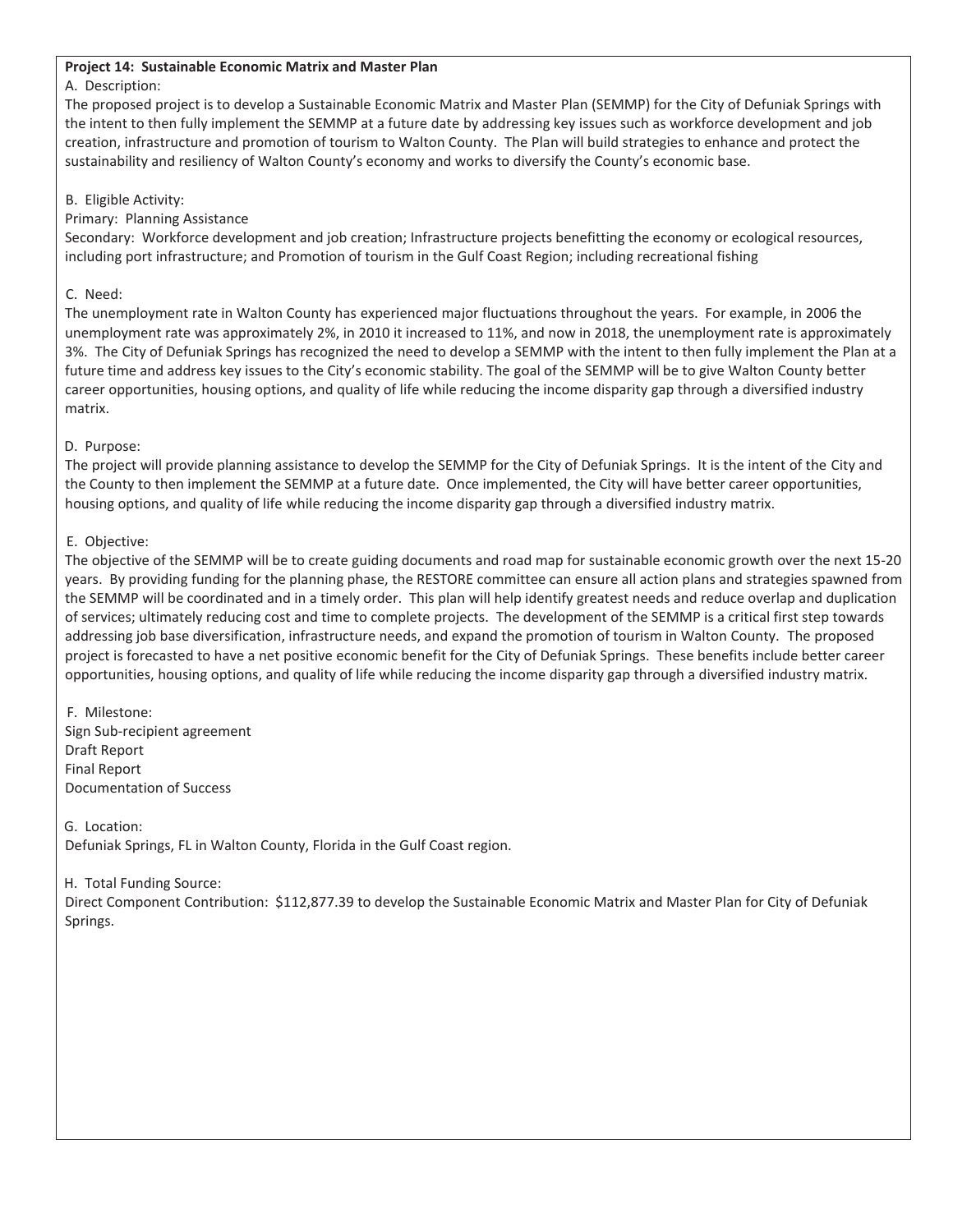#### **Project 14: Sustainable Economic Matrix and Master Plan**

#### A. Description:

The proposed project is to develop a Sustainable Economic Matrix and Master Plan (SEMMP) for the City of Defuniak Springs with the intent to then fully implement the SEMMP at a future date by addressing key issues such as workforce development and job creation, infrastructure and promotion of tourism to Walton County. The Plan will build strategies to enhance and protect the sustainability and resiliency of Walton County's economy and works to diversify the County's economic base.

#### B. Eligible Activity:

#### Primary: Planning Assistance

Secondary: Workforce development and job creation; Infrastructure projects benefitting the economy or ecological resources, including port infrastructure; and Promotion of tourism in the Gulf Coast Region; including recreational fishing

#### C. Need:

The unemployment rate in Walton County has experienced major fluctuations throughout the years. For example, in 2006 the unemployment rate was approximately 2%, in 2010 it increased to 11%, and now in 2018, the unemployment rate is approximately 3%. The City of Defuniak Springs has recognized the need to develop a SEMMP with the intent to then fully implement the Plan at a future time and address key issues to the City's economic stability. The goal of the SEMMP will be to give Walton County better career opportunities, housing options, and quality of life while reducing the income disparity gap through a diversified industry matrix.

#### D. Purpose:

The project will provide planning assistance to develop the SEMMP for the City of Defuniak Springs. It is the intent of the City and the County to then implement the SEMMP at a future date. Once implemented, the City will have better career opportunities, housing options, and quality of life while reducing the income disparity gap through a diversified industry matrix.

#### E. Objective:

The objective of the SEMMP will be to create guiding documents and road map for sustainable economic growth over the next 15-20 years. By providing funding for the planning phase, the RESTORE committee can ensure all action plans and strategies spawned from the SEMMP will be coordinated and in a timely order. This plan will help identify greatest needs and reduce overlap and duplication of services; ultimately reducing cost and time to complete projects. The development of the SEMMP is a critical first step towards addressing job base diversification, infrastructure needs, and expand the promotion of tourism in Walton County. The proposed project is forecasted to have a net positive economic benefit for the City of Defuniak Springs. These benefits include better career opportunities, housing options, and quality of life while reducing the income disparity gap through a diversified industry matrix.

F. Milestone: Sign Sub-recipient agreement Draft Report Final Report Documentation of Success

G. Location: Defuniak Springs, FL in Walton County, Florida in the Gulf Coast region.

#### H. Total Funding Source:

Direct Component Contribution: \$112,877.39 to develop the Sustainable Economic Matrix and Master Plan for City of Defuniak Springs.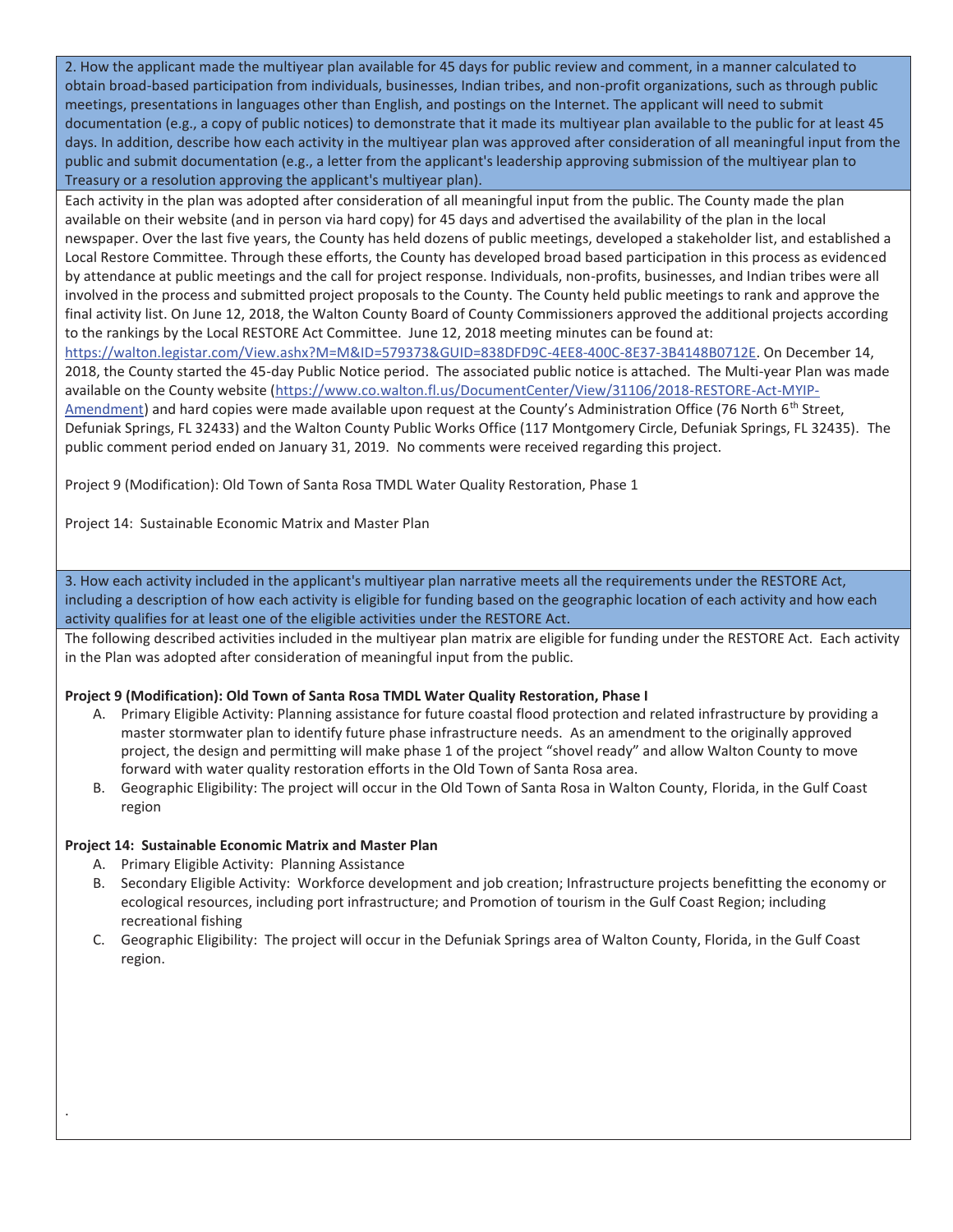2. How the applicant made the multiyear plan available for 45 days for public review and comment, in a manner calculated to obtain broad-based participation from individuals, businesses, Indian tribes, and non-profit organizations, such as through public meetings, presentations in languages other than English, and postings on the Internet. The applicant will need to submit documentation (e.g., a copy of public notices) to demonstrate that it made its multiyear plan available to the public for at least 45 days. In addition, describe how each activity in the multiyear plan was approved after consideration of all meaningful input from the public and submit documentation (e.g., a letter from the applicant's leadership approving submission of the multiyear plan to Treasury or a resolution approving the applicant's multiyear plan).

Each activity in the plan was adopted after consideration of all meaningful input from the public. The County made the plan available on their website (and in person via hard copy) for 45 days and advertised the availability of the plan in the local newspaper. Over the last five years, the County has held dozens of public meetings, developed a stakeholder list, and established a Local Restore Committee. Through these efforts, the County has developed broad based participation in this process as evidenced by attendance at public meetings and the call for project response. Individuals, non-profits, businesses, and Indian tribes were all involved in the process and submitted project proposals to the County. The County held public meetings to rank and approve the final activity list. On June 12, 2018, the Walton County Board of County Commissioners approved the additional projects according to the rankings by the Local RESTORE Act Committee. June 12, 2018 meeting minutes can be found at:

https://walton.legistar.com/View.ashx?M=M&ID=579373&GUID=838DFD9C-4EE8-400C-8E37-3B4148B0712E. On December 14, 2018, the County started the 45-day Public Notice period. The associated public notice is attached. The Multi-year Plan was made available on the County website (https://www.co.walton.fl.us/DocumentCenter/View/31106/2018-RESTORE-Act-MYIP-Amendment) and hard copies were made available upon request at the County's Administration Office (76 North 6<sup>th</sup> Street, Defuniak Springs, FL 32433) and the Walton County Public Works Office (117 Montgomery Circle, Defuniak Springs, FL 32435). The public comment period ended on January 31, 2019. No comments were received regarding this project.

Project 9 (Modification): Old Town of Santa Rosa TMDL Water Quality Restoration, Phase 1

Project 14: Sustainable Economic Matrix and Master Plan

3. How each activity included in the applicant's multiyear plan narrative meets all the requirements under the RESTORE Act, including a description of how each activity is eligible for funding based on the geographic location of each activity and how each activity qualifies for at least one of the eligible activities under the RESTORE Act.

The following described activities included in the multiyear plan matrix are eligible for funding under the RESTORE Act. Each activity in the Plan was adopted after consideration of meaningful input from the public.

#### **Project 9 (Modification): Old Town of Santa Rosa TMDL Water Quality Restoration, Phase I**

- A. Primary Eligible Activity: Planning assistance for future coastal flood protection and related infrastructure by providing a master stormwater plan to identify future phase infrastructure needs. As an amendment to the originally approved project, the design and permitting will make phase 1 of the project "shovel ready" and allow Walton County to move forward with water quality restoration efforts in the Old Town of Santa Rosa area.
- B. Geographic Eligibility: The project will occur in the Old Town of Santa Rosa in Walton County, Florida, in the Gulf Coast region

#### **Project 14: Sustainable Economic Matrix and Master Plan**

A. Primary Eligible Activity: Planning Assistance

.

- B. Secondary Eligible Activity: Workforce development and job creation; Infrastructure projects benefitting the economy or ecological resources, including port infrastructure; and Promotion of tourism in the Gulf Coast Region; including recreational fishing
- C. Geographic Eligibility: The project will occur in the Defuniak Springs area of Walton County, Florida, in the Gulf Coast region.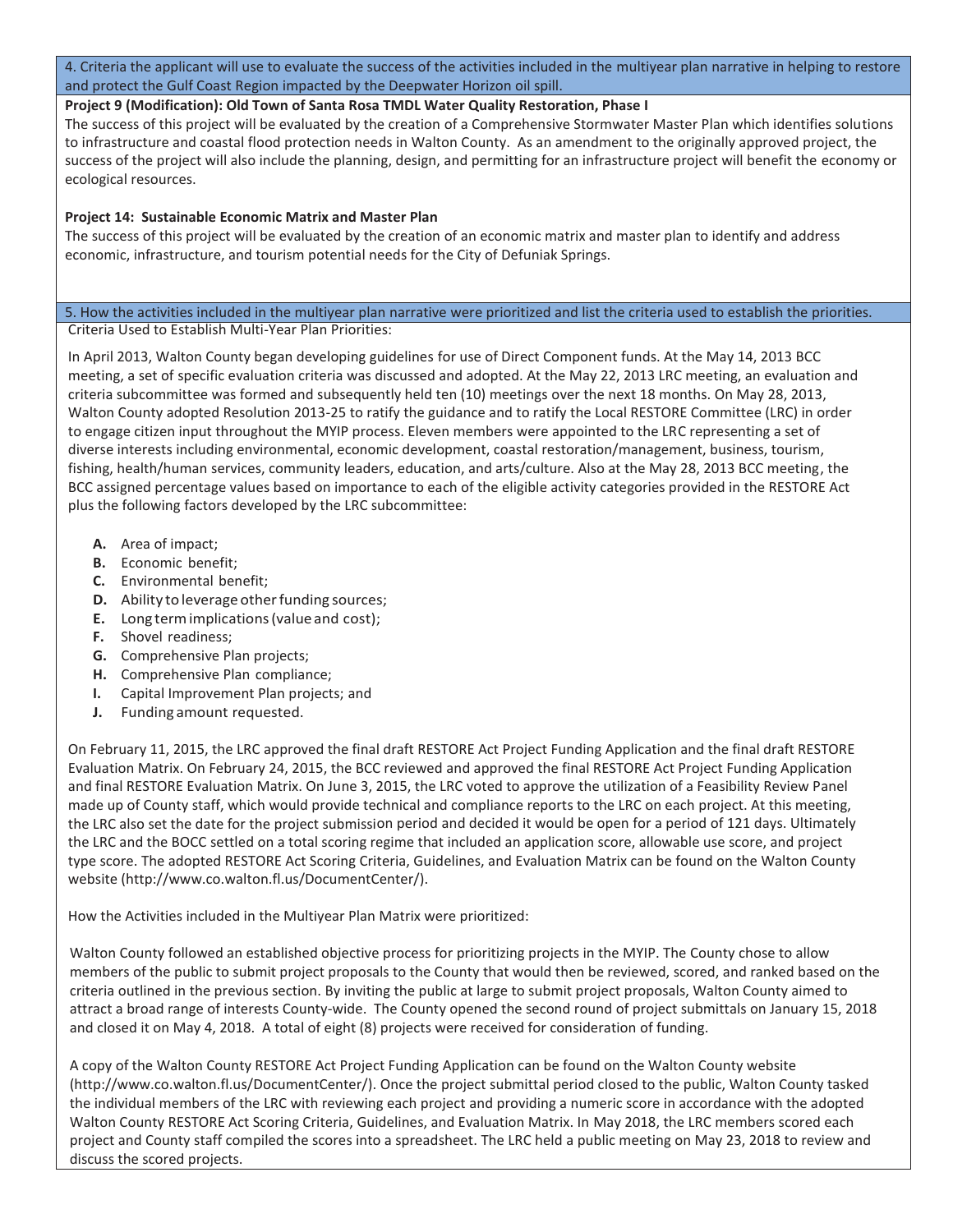4. Criteria the applicant will use to evaluate the success of the activities included in the multiyear plan narrative in helping to restore and protect the Gulf Coast Region impacted by the Deepwater Horizon oil spill.

#### **Project 9 (Modification): Old Town of Santa Rosa TMDL Water Quality Restoration, Phase I**

The success of this project will be evaluated by the creation of a Comprehensive Stormwater Master Plan which identifies solutions to infrastructure and coastal flood protection needs in Walton County. As an amendment to the originally approved project, the success of the project will also include the planning, design, and permitting for an infrastructure project will benefit the economy or ecological resources.

#### **Project 14: Sustainable Economic Matrix and Master Plan**

The success of this project will be evaluated by the creation of an economic matrix and master plan to identify and address economic, infrastructure, and tourism potential needs for the City of Defuniak Springs.

#### 5. How the activities included in the multiyear plan narrative were prioritized and list the criteria used to establish the priorities. Criteria Used to Establish Multi-Year Plan Priorities:

In April 2013, Walton County began developing guidelines for use of Direct Component funds. At the May 14, 2013 BCC meeting, a set of specific evaluation criteria was discussed and adopted. At the May 22, 2013 LRC meeting, an evaluation and criteria subcommittee was formed and subsequently held ten (10) meetings over the next 18 months. On May 28, 2013, Walton County adopted Resolution 2013-25 to ratify the guidance and to ratify the Local RESTORE Committee (LRC) in order to engage citizen input throughout the MYIP process. Eleven members were appointed to the LRC representing a set of diverse interests including environmental, economic development, coastal restoration/management, business, tourism, fishing, health/human services, community leaders, education, and arts/culture. Also at the May 28, 2013 BCC meeting, the BCC assigned percentage values based on importance to each of the eligible activity categories provided in the RESTORE Act plus the following factors developed by the LRC subcommittee:

- **A.** Area of impact;
- **B.** Economic benefit;
- **C.** Environmental benefit;
- **D.** Ability to leverage other funding sources;
- **E.** Long term implications (value and cost);
- **F.** Shovel readiness;
- **G.** Comprehensive Plan projects;
- **H.** Comprehensive Plan compliance;
- **I.** Capital Improvement Plan projects; and
- **J.** Funding amount requested.

On February 11, 2015, the LRC approved the final draft RESTORE Act Project Funding Application and the final draft RESTORE Evaluation Matrix. On February 24, 2015, the BCC reviewed and approved the final RESTORE Act Project Funding Application and final RESTORE Evaluation Matrix. On June 3, 2015, the LRC voted to approve the utilization of a Feasibility Review Panel made up of County staff, which would provide technical and compliance reports to the LRC on each project. At this meeting, the LRC also set the date for the project submission period and decided it would be open for a period of 121 days. Ultimately the LRC and the BOCC settled on a total scoring regime that included an application score, allowable use score, and project type score. The adopted RESTORE Act Scoring Criteria, Guidelines, and Evaluation Matrix can be found on the Walton County website (http://www.co.walton.fl.us/DocumentCenter/).

How the Activities included in the Multiyear Plan Matrix were prioritized:

Walton County followed an established objective process for prioritizing projects in the MYIP. The County chose to allow members of the public to submit project proposals to the County that would then be reviewed, scored, and ranked based on the criteria outlined in the previous section. By inviting the public at large to submit project proposals, Walton County aimed to attract a broad range of interests County-wide. The County opened the second round of project submittals on January 15, 2018 and closed it on May 4, 2018. A total of eight (8) projects were received for consideration of funding.

 Walton County RESTORE Act Scoring Criteria, Guidelines, and Evaluation Matrix. In May 2018, the LRC members scored each A copy of the Walton County RESTORE Act Project Funding Application can be found on the Walton County website (http://www.co.walton.fl.us/DocumentCenter/). Once the project submittal period closed to the public, Walton County tasked the individual members of the LRC with reviewing each project and providing a numeric score in accordance with the adopted project and County staff compiled the scores into a spreadsheet. The LRC held a public meeting on May 23, 2018 to review and discuss the scored projects.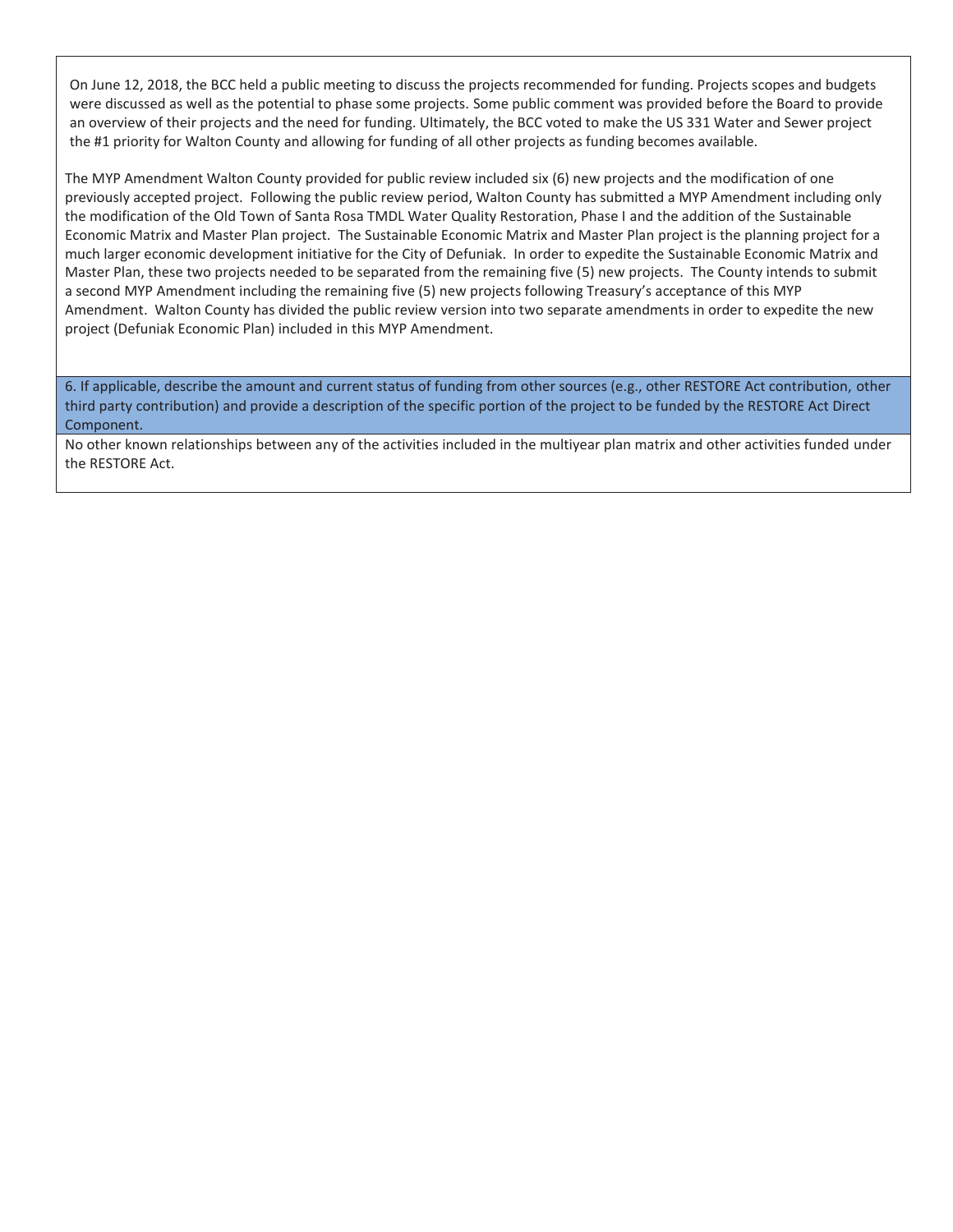the #1 priority for Walton County and allowing for funding of all other projects as funding becomes available. On June 12, 2018, the BCC held a public meeting to discuss the projects recommended for funding. Projects scopes and budgets were discussed as well as the potential to phase some projects. Some public comment was provided before the Board to provide an overview of their projects and the need for funding. Ultimately, the BCC voted to make the US 331 Water and Sewer project

The MYP Amendment Walton County provided for public review included six (6) new projects and the modification of one previously accepted project. Following the public review period, Walton County has submitted a MYP Amendment including only the modification of the Old Town of Santa Rosa TMDL Water Quality Restoration, Phase I and the addition of the Sustainable Economic Matrix and Master Plan project. The Sustainable Economic Matrix and Master Plan project is the planning project for a much larger economic development initiative for the City of Defuniak. In order to expedite the Sustainable Economic Matrix and Master Plan, these two projects needed to be separated from the remaining five (5) new projects. The County intends to submit a second MYP Amendment including the remaining five (5) new projects following Treasury's acceptance of this MYP Amendment. Walton County has divided the public review version into two separate amendments in order to expedite the new project (Defuniak Economic Plan) included in this MYP Amendment.

6. If applicable, describe the amount and current status of funding from other sources (e.g., other RESTORE Act contribution, other third party contribution) and provide a description of the specific portion of the project to be funded by the RESTORE Act Direct Component.

No other known relationships between any of the activities included in the multiyear plan matrix and other activities funded under the RESTORE Act.